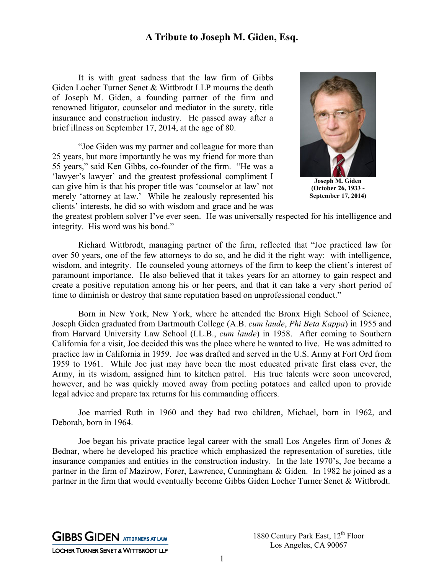## **A Tribute to Joseph M. Giden, Esq.**

It is with great sadness that the law firm of Gibbs Giden Locher Turner Senet & Wittbrodt LLP mourns the death of Joseph M. Giden, a founding partner of the firm and renowned litigator, counselor and mediator in the surety, title insurance and construction industry. He passed away after a brief illness on September 17, 2014, at the age of 80.

"Joe Giden was my partner and colleague for more than 25 years, but more importantly he was my friend for more than 55 years," said Ken Gibbs, co-founder of the firm. "He was a 'lawyer's lawyer' and the greatest professional compliment I can give him is that his proper title was 'counselor at law' not merely 'attorney at law.' While he zealously represented his clients' interests, he did so with wisdom and grace and he was



**Joseph M. Giden (October 26, 1933 - September 17, 2014)** 

the greatest problem solver I've ever seen. He was universally respected for his intelligence and integrity. His word was his bond."

Richard Wittbrodt, managing partner of the firm, reflected that "Joe practiced law for over 50 years, one of the few attorneys to do so, and he did it the right way: with intelligence, wisdom, and integrity. He counseled young attorneys of the firm to keep the client's interest of paramount importance. He also believed that it takes years for an attorney to gain respect and create a positive reputation among his or her peers, and that it can take a very short period of time to diminish or destroy that same reputation based on unprofessional conduct."

Born in New York, New York, where he attended the Bronx High School of Science, Joseph Giden graduated from Dartmouth College (A.B. *cum laude*, *Phi Beta Kappa*) in 1955 and from Harvard University Law School (LL.B., *cum laude*) in 1958. After coming to Southern California for a visit, Joe decided this was the place where he wanted to live. He was admitted to practice law in California in 1959. Joe was drafted and served in the U.S. Army at Fort Ord from 1959 to 1961. While Joe just may have been the most educated private first class ever, the Army, in its wisdom, assigned him to kitchen patrol. His true talents were soon uncovered, however, and he was quickly moved away from peeling potatoes and called upon to provide legal advice and prepare tax returns for his commanding officers.

Joe married Ruth in 1960 and they had two children, Michael, born in 1962, and Deborah, born in 1964.

Joe began his private practice legal career with the small Los Angeles firm of Jones & Bednar, where he developed his practice which emphasized the representation of sureties, title insurance companies and entities in the construction industry. In the late 1970's, Joe became a partner in the firm of Mazirow, Forer, Lawrence, Cunningham & Giden. In 1982 he joined as a partner in the firm that would eventually become Gibbs Giden Locher Turner Senet & Wittbrodt.

**GIBBS GIDEN ATTORNEYS AT LAW** LOCHER TURNER SENET & WITTBRODT LLP 1880 Century Park East, 12<sup>th</sup> Floor Los Angeles, CA 90067